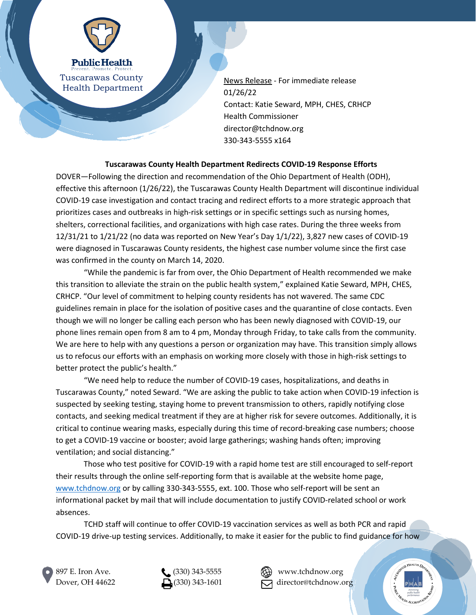

**Public Health** Tuscarawas County Health Department

News Release - For immediate release 01/26/22 Contact: Katie Seward, MPH, CHES, CRHCP Health Commissioner director@tchdnow.org 330-343-5555 x164

## **Tuscarawas County Health Department Redirects COVID-19 Response Efforts**

DOVER—Following the direction and recommendation of the Ohio Department of Health (ODH), effective this afternoon (1/26/22), the Tuscarawas County Health Department will discontinue individual COVID-19 case investigation and contact tracing and redirect efforts to a more strategic approach that prioritizes cases and outbreaks in high-risk settings or in specific settings such as nursing homes, shelters, correctional facilities, and organizations with high case rates. During the three weeks from 12/31/21 to 1/21/22 (no data was reported on New Year's Day 1/1/22), 3,827 new cases of COVID-19 were diagnosed in Tuscarawas County residents, the highest case number volume since the first case was confirmed in the county on March 14, 2020.

"While the pandemic is far from over, the Ohio Department of Health recommended we make this transition to alleviate the strain on the public health system," explained Katie Seward, MPH, CHES, CRHCP. "Our level of commitment to helping county residents has not wavered. The same CDC guidelines remain in place for the isolation of positive cases and the quarantine of close contacts. Even though we will no longer be calling each person who has been newly diagnosed with COVID-19, our phone lines remain open from 8 am to 4 pm, Monday through Friday, to take calls from the community. We are here to help with any questions a person or organization may have. This transition simply allows us to refocus our efforts with an emphasis on working more closely with those in high-risk settings to better protect the public's health."

"We need help to reduce the number of COVID-19 cases, hospitalizations, and deaths in Tuscarawas County," noted Seward. "We are asking the public to take action when COVID-19 infection is suspected by seeking testing, staying home to prevent transmission to others, rapidly notifying close contacts, and seeking medical treatment if they are at higher risk for severe outcomes. Additionally, it is critical to continue wearing masks, especially during this time of record-breaking case numbers; choose to get a COVID-19 vaccine or booster; avoid large gatherings; washing hands often; improving ventilation; and social distancing."

Those who test positive for COVID-19 with a rapid home test are still encouraged to self-report their results through the online self-reporting form that is available at the website home page, [www.tchdnow.org](http://www.tchdnow.org/) or by calling 330-343-5555, ext. 100. Those who self-report will be sent an informational packet by mail that will include documentation to justify COVID-related school or work absences.

TCHD staff will continue to offer COVID-19 vaccination services as well as both PCR and rapid COVID-19 drive-up testing services. Additionally, to make it easier for the public to find guidance for how





Dover, OH 44622  $\Box$  (330) 343-1601  $\Box$  director@tchdnow.org